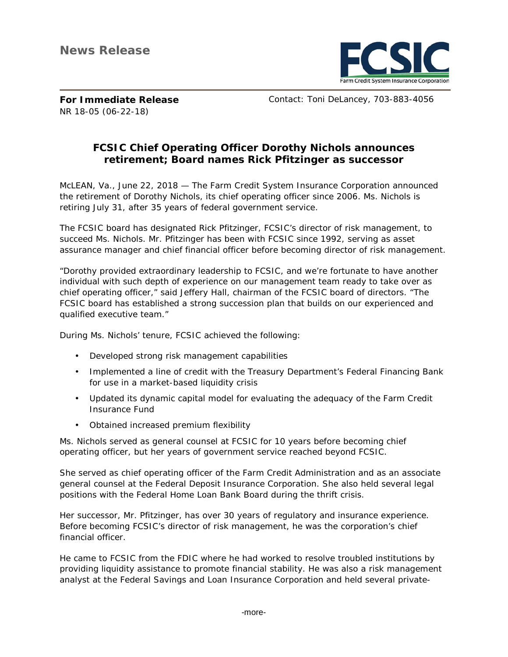

**For Immediate Release**  NR 18-05 (06-22-18)

Contact: Toni DeLancey, 703-883-4056

## **FCSIC Chief Operating Officer Dorothy Nichols announces retirement; Board names Rick Pfitzinger as successor**

McLEAN, Va., June 22, 2018 — The Farm Credit System Insurance Corporation announced the retirement of Dorothy Nichols, its chief operating officer since 2006. Ms. Nichols is retiring July 31, after 35 years of federal government service.

The FCSIC board has designated Rick Pfitzinger, FCSIC's director of risk management, to succeed Ms. Nichols. Mr. Pfitzinger has been with FCSIC since 1992, serving as asset assurance manager and chief financial officer before becoming director of risk management.

"Dorothy provided extraordinary leadership to FCSIC, and we're fortunate to have another individual with such depth of experience on our management team ready to take over as chief operating officer," said Jeffery Hall, chairman of the FCSIC board of directors. "The FCSIC board has established a strong succession plan that builds on our experienced and qualified executive team."

During Ms. Nichols' tenure, FCSIC achieved the following:

- Developed strong risk management capabilities  $\mathbf{r}$
- Implemented a line of credit with the Treasury Department's Federal Financing Bank for use in a market-based liquidity crisis
- Updated its dynamic capital model for evaluating the adequacy of the Farm Credit Insurance Fund
- Obtained increased premium flexibility

Ms. Nichols served as general counsel at FCSIC for 10 years before becoming chief operating officer, but her years of government service reached beyond FCSIC.

She served as chief operating officer of the Farm Credit Administration and as an associate general counsel at the Federal Deposit Insurance Corporation. She also held several legal positions with the Federal Home Loan Bank Board during the thrift crisis.

Her successor, Mr. Pfitzinger, has over 30 years of regulatory and insurance experience. Before becoming FCSIC's director of risk management, he was the corporation's chief financial officer.

He came to FCSIC from the FDIC where he had worked to resolve troubled institutions by providing liquidity assistance to promote financial stability. He was also a risk management analyst at the Federal Savings and Loan Insurance Corporation and held several private